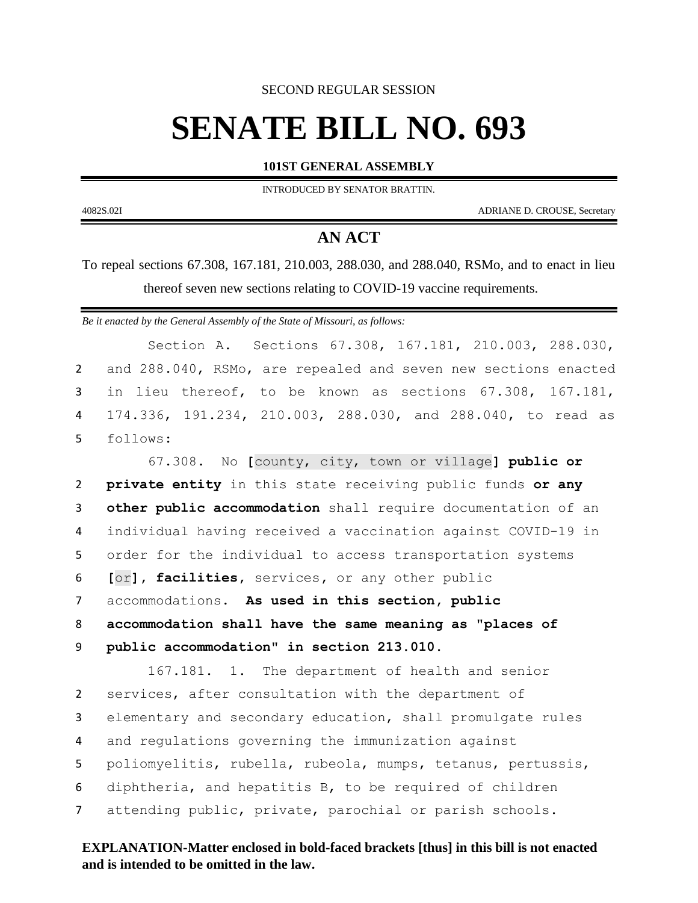SECOND REGULAR SESSION

# **SENATE BILL NO. 693**

**101ST GENERAL ASSEMBLY**

INTRODUCED BY SENATOR BRATTIN.

4082S.02I ADRIANE D. CROUSE, Secretary

## **AN ACT**

To repeal sections 67.308, 167.181, 210.003, 288.030, and 288.040, RSMo, and to enact in lieu thereof seven new sections relating to COVID-19 vaccine requirements.

*Be it enacted by the General Assembly of the State of Missouri, as follows:*

Section A. Sections 67.308, 167.181, 210.003, 288.030, 2 and 288.040, RSMo, are repealed and seven new sections enacted 3 in lieu thereof, to be known as sections 67.308, 167.181, 4 174.336, 191.234, 210.003, 288.030, and 288.040, to read as 5 follows:

 67.308. No **[**county, city, town or village**] public or private entity** in this state receiving public funds **or any other public accommodation** shall require documentation of an individual having received a vaccination against COVID-19 in order for the individual to access transportation systems **[**or**], facilities,** services**,** or any other public accommodations. **As used in this section, public accommodation shall have the same meaning as "places of public accommodation" in section 213.010.**

167.181. 1. The department of health and senior services, after consultation with the department of elementary and secondary education, shall promulgate rules and regulations governing the immunization against poliomyelitis, rubella, rubeola, mumps, tetanus, pertussis, diphtheria, and hepatitis B, to be required of children attending public, private, parochial or parish schools.

## **EXPLANATION-Matter enclosed in bold-faced brackets [thus] in this bill is not enacted and is intended to be omitted in the law.**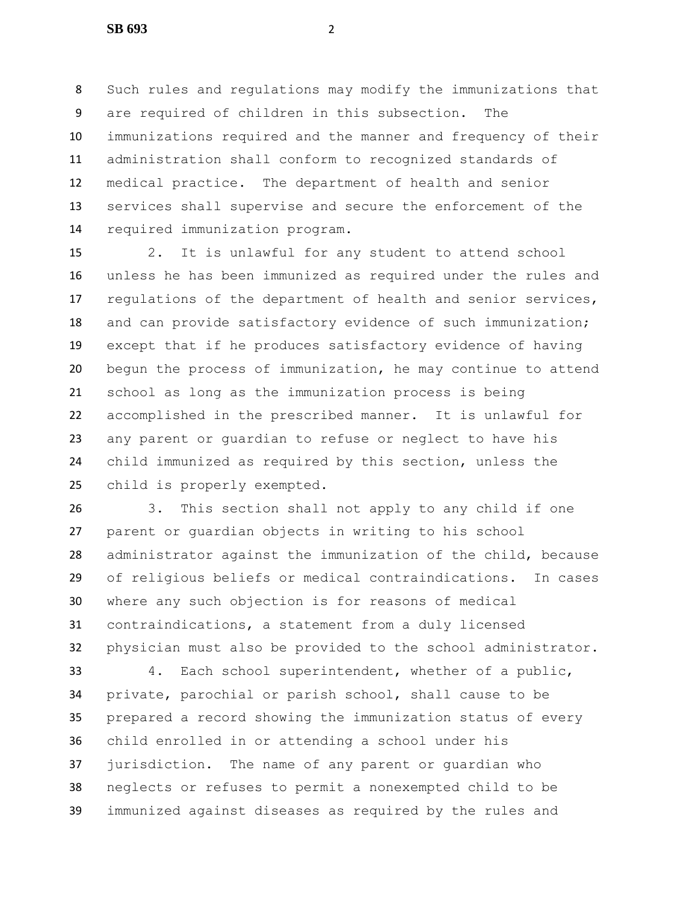Such rules and regulations may modify the immunizations that are required of children in this subsection. The immunizations required and the manner and frequency of their administration shall conform to recognized standards of medical practice. The department of health and senior services shall supervise and secure the enforcement of the required immunization program.

 2. It is unlawful for any student to attend school unless he has been immunized as required under the rules and regulations of the department of health and senior services, and can provide satisfactory evidence of such immunization; except that if he produces satisfactory evidence of having begun the process of immunization, he may continue to attend school as long as the immunization process is being accomplished in the prescribed manner. It is unlawful for any parent or guardian to refuse or neglect to have his child immunized as required by this section, unless the child is properly exempted.

 3. This section shall not apply to any child if one parent or guardian objects in writing to his school administrator against the immunization of the child, because of religious beliefs or medical contraindications. In cases where any such objection is for reasons of medical contraindications, a statement from a duly licensed physician must also be provided to the school administrator.

 4. Each school superintendent, whether of a public, private, parochial or parish school, shall cause to be prepared a record showing the immunization status of every child enrolled in or attending a school under his jurisdiction. The name of any parent or guardian who neglects or refuses to permit a nonexempted child to be immunized against diseases as required by the rules and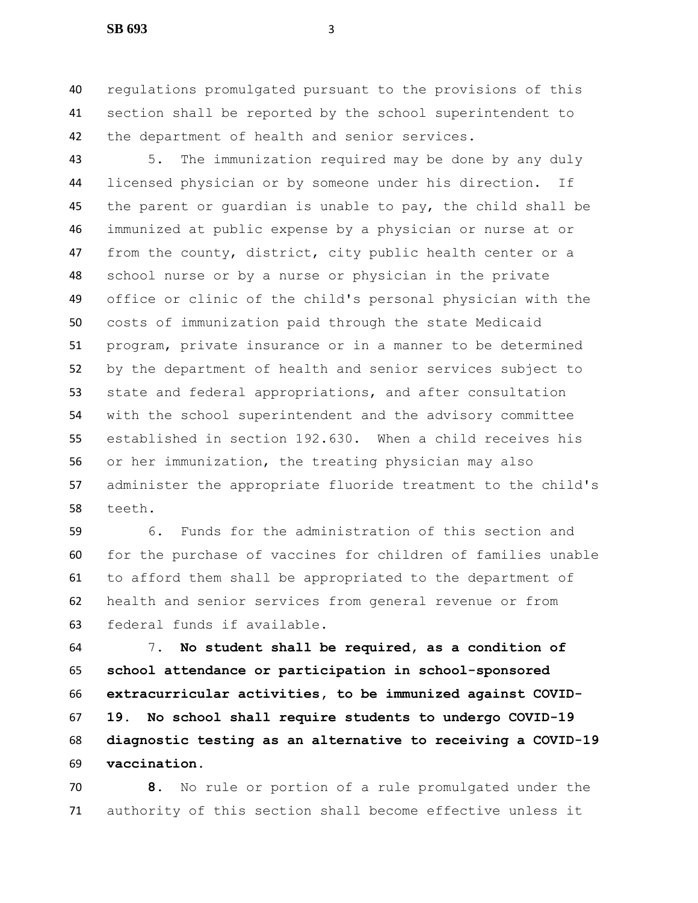regulations promulgated pursuant to the provisions of this section shall be reported by the school superintendent to the department of health and senior services.

 5. The immunization required may be done by any duly licensed physician or by someone under his direction. If the parent or guardian is unable to pay, the child shall be immunized at public expense by a physician or nurse at or from the county, district, city public health center or a school nurse or by a nurse or physician in the private office or clinic of the child's personal physician with the costs of immunization paid through the state Medicaid program, private insurance or in a manner to be determined by the department of health and senior services subject to state and federal appropriations, and after consultation with the school superintendent and the advisory committee established in section 192.630. When a child receives his or her immunization, the treating physician may also administer the appropriate fluoride treatment to the child's teeth.

 6. Funds for the administration of this section and for the purchase of vaccines for children of families unable to afford them shall be appropriated to the department of health and senior services from general revenue or from federal funds if available.

 7. **No student shall be required, as a condition of school attendance or participation in school-sponsored extracurricular activities, to be immunized against COVID- 19. No school shall require students to undergo COVID-19 diagnostic testing as an alternative to receiving a COVID-19 vaccination.**

 **8.** No rule or portion of a rule promulgated under the authority of this section shall become effective unless it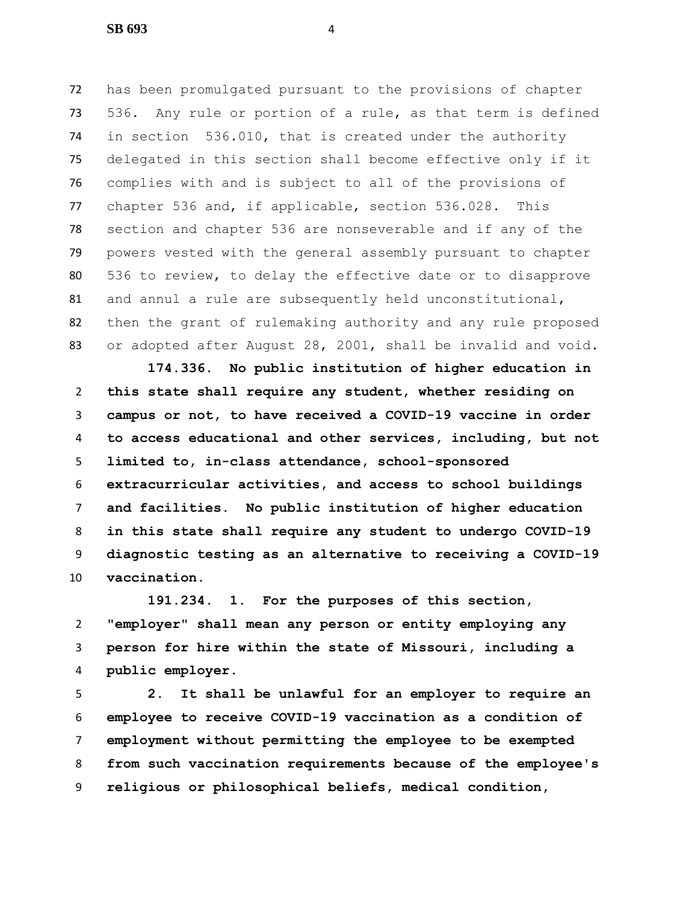has been promulgated pursuant to the provisions of chapter 536. Any rule or portion of a rule, as that term is defined in section 536.010, that is created under the authority delegated in this section shall become effective only if it complies with and is subject to all of the provisions of chapter 536 and, if applicable, section 536.028. This section and chapter 536 are nonseverable and if any of the powers vested with the general assembly pursuant to chapter 536 to review, to delay the effective date or to disapprove and annul a rule are subsequently held unconstitutional, then the grant of rulemaking authority and any rule proposed or adopted after August 28, 2001, shall be invalid and void.

 **174.336. No public institution of higher education in this state shall require any student, whether residing on campus or not, to have received a COVID-19 vaccine in order to access educational and other services, including, but not limited to, in-class attendance, school-sponsored extracurricular activities, and access to school buildings and facilities. No public institution of higher education in this state shall require any student to undergo COVID-19 diagnostic testing as an alternative to receiving a COVID-19 vaccination.**

 **191.234. 1. For the purposes of this section, "employer" shall mean any person or entity employing any person for hire within the state of Missouri, including a public employer.**

 **2. It shall be unlawful for an employer to require an employee to receive COVID-19 vaccination as a condition of employment without permitting the employee to be exempted from such vaccination requirements because of the employee's religious or philosophical beliefs, medical condition,**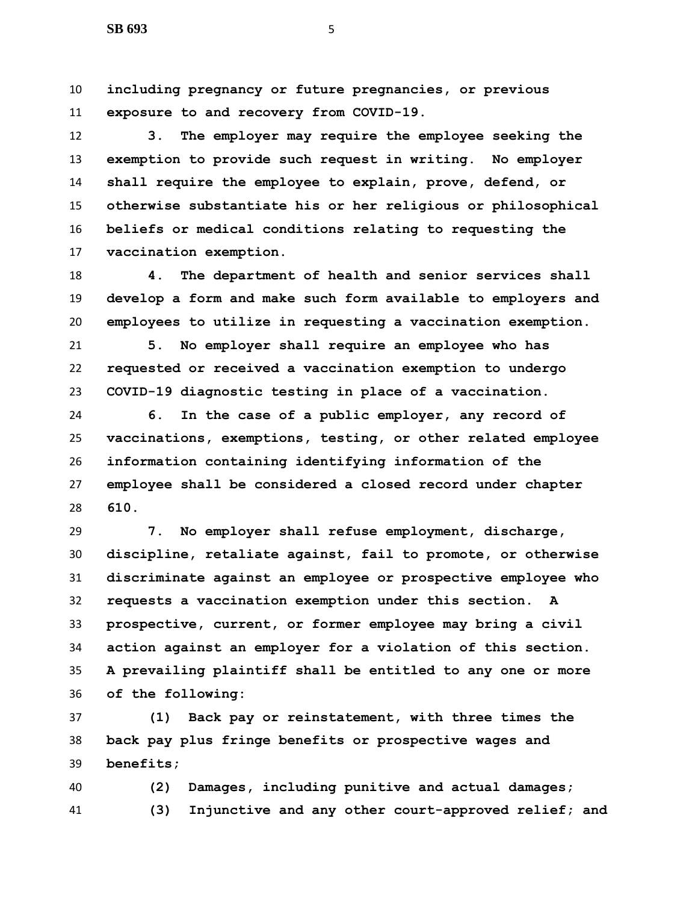**including pregnancy or future pregnancies, or previous exposure to and recovery from COVID-19.**

 **3. The employer may require the employee seeking the exemption to provide such request in writing. No employer shall require the employee to explain, prove, defend, or otherwise substantiate his or her religious or philosophical beliefs or medical conditions relating to requesting the vaccination exemption.**

 **4. The department of health and senior services shall develop a form and make such form available to employers and employees to utilize in requesting a vaccination exemption.**

 **5. No employer shall require an employee who has requested or received a vaccination exemption to undergo COVID-19 diagnostic testing in place of a vaccination.**

 **6. In the case of a public employer, any record of vaccinations, exemptions, testing, or other related employee information containing identifying information of the employee shall be considered a closed record under chapter 610.**

 **7. No employer shall refuse employment, discharge, discipline, retaliate against, fail to promote, or otherwise discriminate against an employee or prospective employee who requests a vaccination exemption under this section. A prospective, current, or former employee may bring a civil action against an employer for a violation of this section. A prevailing plaintiff shall be entitled to any one or more of the following:**

 **(1) Back pay or reinstatement, with three times the back pay plus fringe benefits or prospective wages and benefits;**

 **(2) Damages, including punitive and actual damages; (3) Injunctive and any other court-approved relief; and**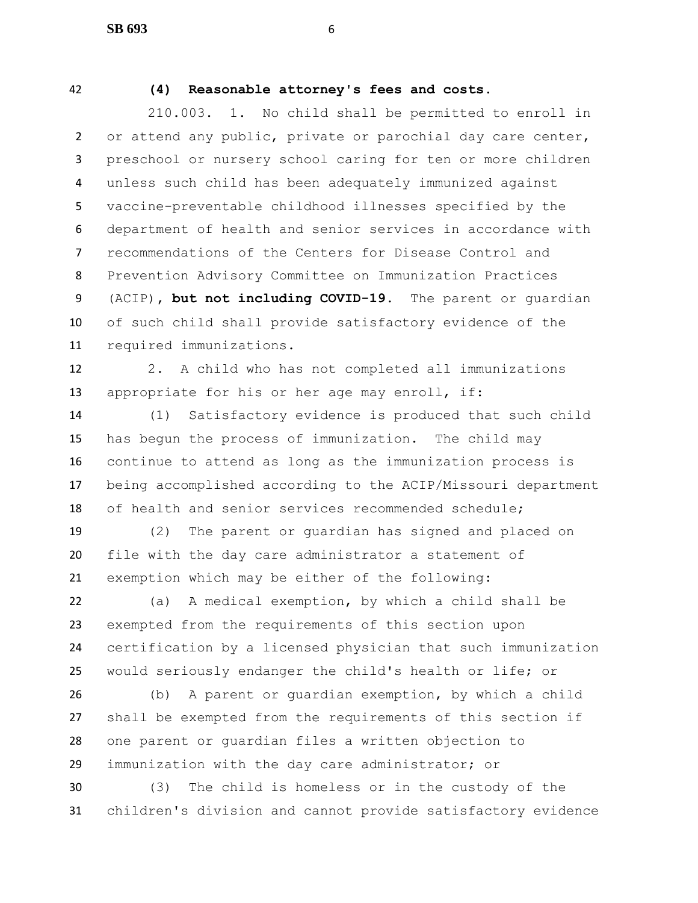### **(4) Reasonable attorney's fees and costs.**

 210.003. 1. No child shall be permitted to enroll in 2 or attend any public, private or parochial day care center, preschool or nursery school caring for ten or more children unless such child has been adequately immunized against vaccine-preventable childhood illnesses specified by the department of health and senior services in accordance with recommendations of the Centers for Disease Control and Prevention Advisory Committee on Immunization Practices (ACIP)**, but not including COVID-19**. The parent or guardian of such child shall provide satisfactory evidence of the required immunizations.

 2. A child who has not completed all immunizations appropriate for his or her age may enroll, if:

 (1) Satisfactory evidence is produced that such child has begun the process of immunization. The child may continue to attend as long as the immunization process is being accomplished according to the ACIP/Missouri department of health and senior services recommended schedule;

 (2) The parent or guardian has signed and placed on file with the day care administrator a statement of exemption which may be either of the following:

 (a) A medical exemption, by which a child shall be exempted from the requirements of this section upon certification by a licensed physician that such immunization would seriously endanger the child's health or life; or

 (b) A parent or guardian exemption, by which a child shall be exempted from the requirements of this section if one parent or guardian files a written objection to immunization with the day care administrator; or

 (3) The child is homeless or in the custody of the children's division and cannot provide satisfactory evidence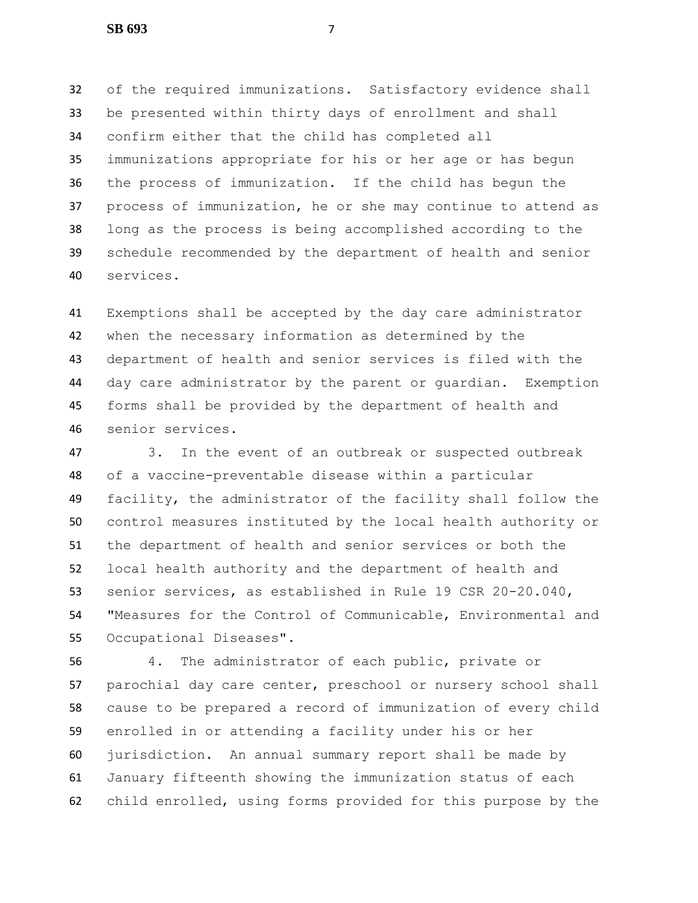of the required immunizations. Satisfactory evidence shall be presented within thirty days of enrollment and shall confirm either that the child has completed all immunizations appropriate for his or her age or has begun the process of immunization. If the child has begun the process of immunization, he or she may continue to attend as long as the process is being accomplished according to the schedule recommended by the department of health and senior services.

 Exemptions shall be accepted by the day care administrator when the necessary information as determined by the department of health and senior services is filed with the day care administrator by the parent or guardian. Exemption forms shall be provided by the department of health and senior services.

 3. In the event of an outbreak or suspected outbreak of a vaccine-preventable disease within a particular facility, the administrator of the facility shall follow the control measures instituted by the local health authority or the department of health and senior services or both the local health authority and the department of health and senior services, as established in Rule 19 CSR 20-20.040, "Measures for the Control of Communicable, Environmental and Occupational Diseases".

 4. The administrator of each public, private or parochial day care center, preschool or nursery school shall cause to be prepared a record of immunization of every child enrolled in or attending a facility under his or her jurisdiction. An annual summary report shall be made by January fifteenth showing the immunization status of each child enrolled, using forms provided for this purpose by the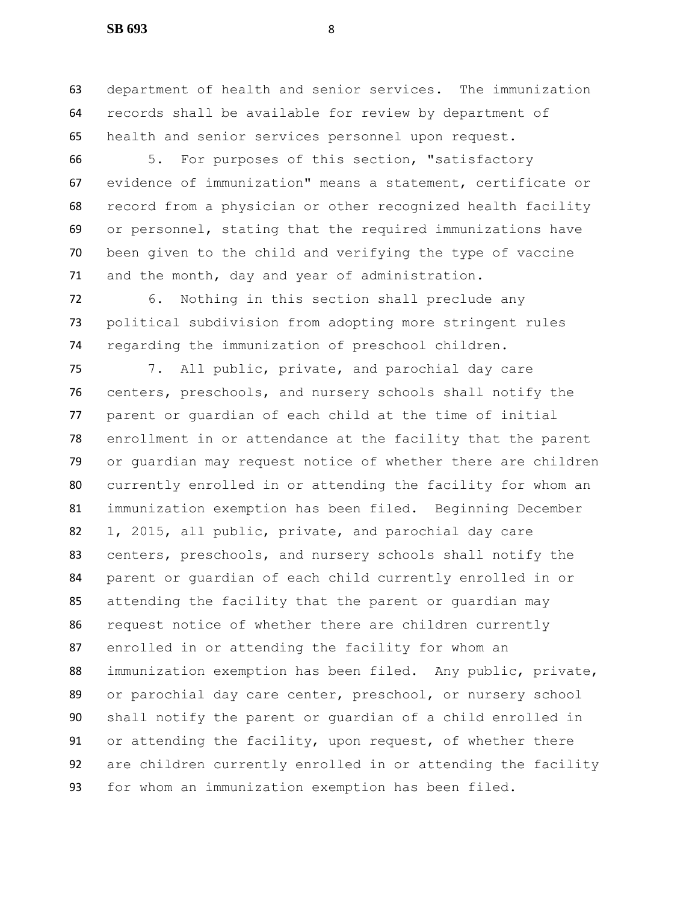department of health and senior services. The immunization records shall be available for review by department of health and senior services personnel upon request.

 5. For purposes of this section, "satisfactory evidence of immunization" means a statement, certificate or record from a physician or other recognized health facility or personnel, stating that the required immunizations have been given to the child and verifying the type of vaccine and the month, day and year of administration.

 6. Nothing in this section shall preclude any political subdivision from adopting more stringent rules regarding the immunization of preschool children.

 7. All public, private, and parochial day care centers, preschools, and nursery schools shall notify the parent or guardian of each child at the time of initial enrollment in or attendance at the facility that the parent or guardian may request notice of whether there are children currently enrolled in or attending the facility for whom an immunization exemption has been filed. Beginning December 1, 2015, all public, private, and parochial day care centers, preschools, and nursery schools shall notify the parent or guardian of each child currently enrolled in or attending the facility that the parent or guardian may request notice of whether there are children currently enrolled in or attending the facility for whom an immunization exemption has been filed. Any public, private, or parochial day care center, preschool, or nursery school shall notify the parent or guardian of a child enrolled in or attending the facility, upon request, of whether there are children currently enrolled in or attending the facility for whom an immunization exemption has been filed.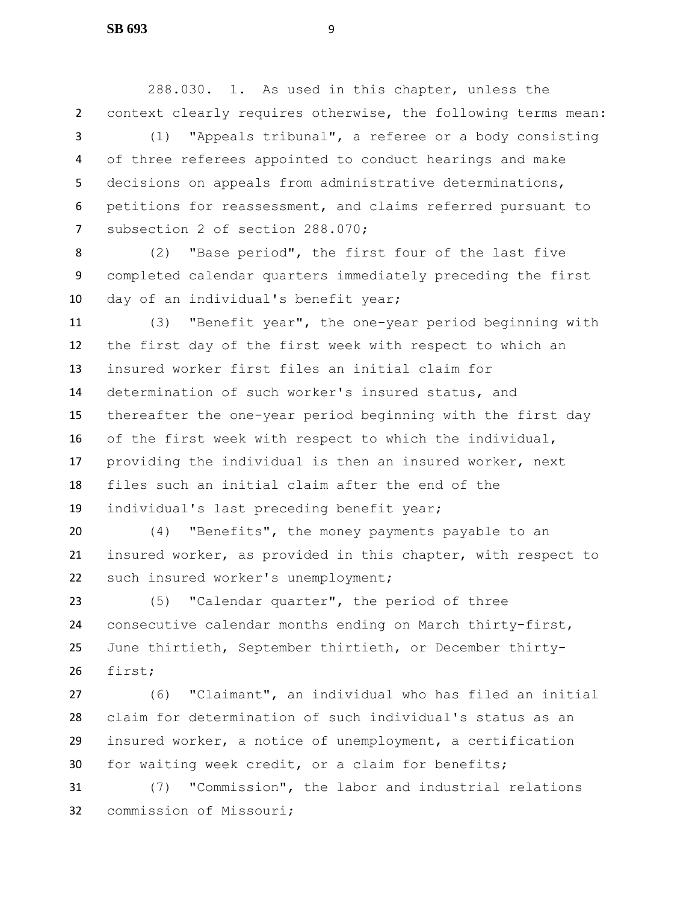288.030. 1. As used in this chapter, unless the context clearly requires otherwise, the following terms mean: (1) "Appeals tribunal", a referee or a body consisting

 of three referees appointed to conduct hearings and make decisions on appeals from administrative determinations, petitions for reassessment, and claims referred pursuant to subsection 2 of section 288.070;

 (2) "Base period", the first four of the last five completed calendar quarters immediately preceding the first day of an individual's benefit year;

 (3) "Benefit year", the one-year period beginning with the first day of the first week with respect to which an insured worker first files an initial claim for determination of such worker's insured status, and thereafter the one-year period beginning with the first day of the first week with respect to which the individual, providing the individual is then an insured worker, next files such an initial claim after the end of the individual's last preceding benefit year;

 (4) "Benefits", the money payments payable to an insured worker, as provided in this chapter, with respect to such insured worker's unemployment;

 (5) "Calendar quarter", the period of three consecutive calendar months ending on March thirty-first, June thirtieth, September thirtieth, or December thirty-first;

 (6) "Claimant", an individual who has filed an initial claim for determination of such individual's status as an insured worker, a notice of unemployment, a certification for waiting week credit, or a claim for benefits;

 (7) "Commission", the labor and industrial relations commission of Missouri;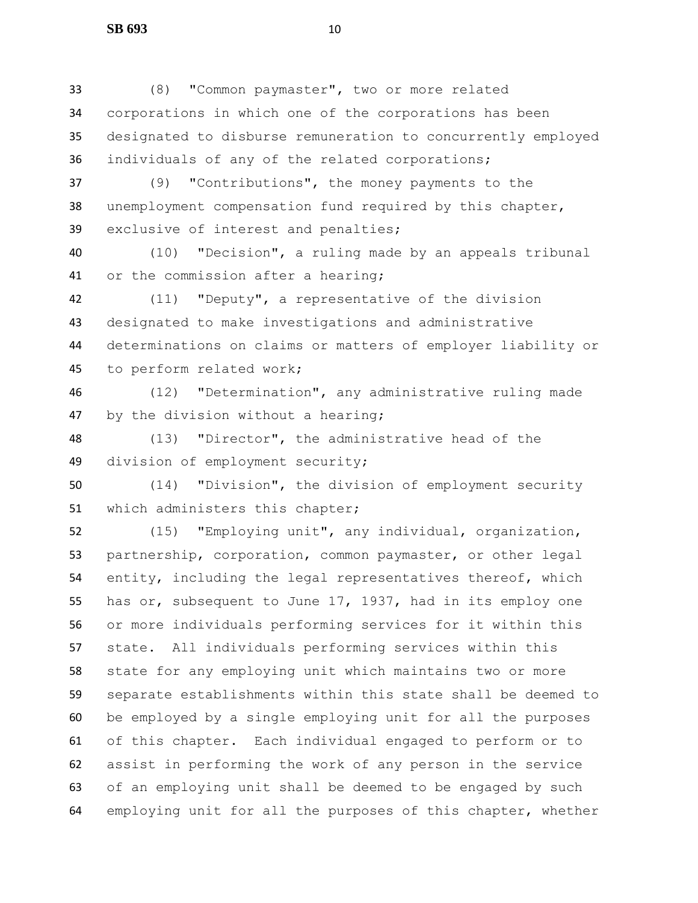(8) "Common paymaster", two or more related corporations in which one of the corporations has been designated to disburse remuneration to concurrently employed individuals of any of the related corporations; (9) "Contributions", the money payments to the unemployment compensation fund required by this chapter, exclusive of interest and penalties;

 (10) "Decision", a ruling made by an appeals tribunal or the commission after a hearing;

 (11) "Deputy", a representative of the division designated to make investigations and administrative determinations on claims or matters of employer liability or to perform related work;

 (12) "Determination", any administrative ruling made by the division without a hearing;

 (13) "Director", the administrative head of the division of employment security;

 (14) "Division", the division of employment security which administers this chapter;

 (15) "Employing unit", any individual, organization, partnership, corporation, common paymaster, or other legal entity, including the legal representatives thereof, which has or, subsequent to June 17, 1937, had in its employ one or more individuals performing services for it within this state. All individuals performing services within this state for any employing unit which maintains two or more separate establishments within this state shall be deemed to be employed by a single employing unit for all the purposes of this chapter. Each individual engaged to perform or to assist in performing the work of any person in the service of an employing unit shall be deemed to be engaged by such employing unit for all the purposes of this chapter, whether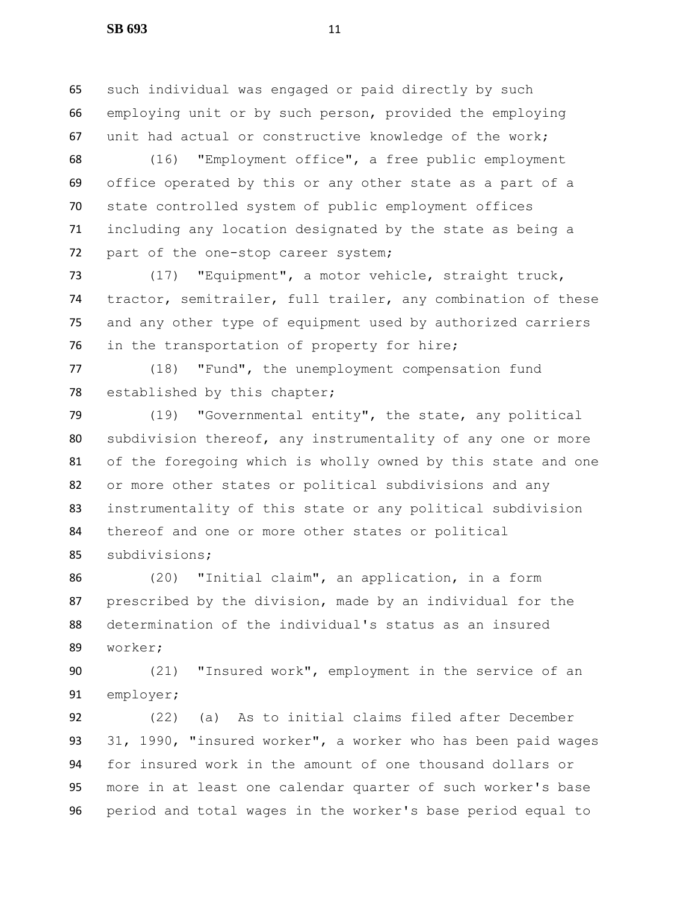such individual was engaged or paid directly by such employing unit or by such person, provided the employing unit had actual or constructive knowledge of the work;

 (16) "Employment office", a free public employment office operated by this or any other state as a part of a state controlled system of public employment offices including any location designated by the state as being a 72 part of the one-stop career system;

 (17) "Equipment", a motor vehicle, straight truck, tractor, semitrailer, full trailer, any combination of these and any other type of equipment used by authorized carriers in the transportation of property for hire;

 (18) "Fund", the unemployment compensation fund established by this chapter;

 (19) "Governmental entity", the state, any political subdivision thereof, any instrumentality of any one or more of the foregoing which is wholly owned by this state and one or more other states or political subdivisions and any instrumentality of this state or any political subdivision thereof and one or more other states or political subdivisions;

 (20) "Initial claim", an application, in a form prescribed by the division, made by an individual for the determination of the individual's status as an insured worker;

 (21) "Insured work", employment in the service of an employer;

 (22) (a) As to initial claims filed after December 31, 1990, "insured worker", a worker who has been paid wages for insured work in the amount of one thousand dollars or more in at least one calendar quarter of such worker's base period and total wages in the worker's base period equal to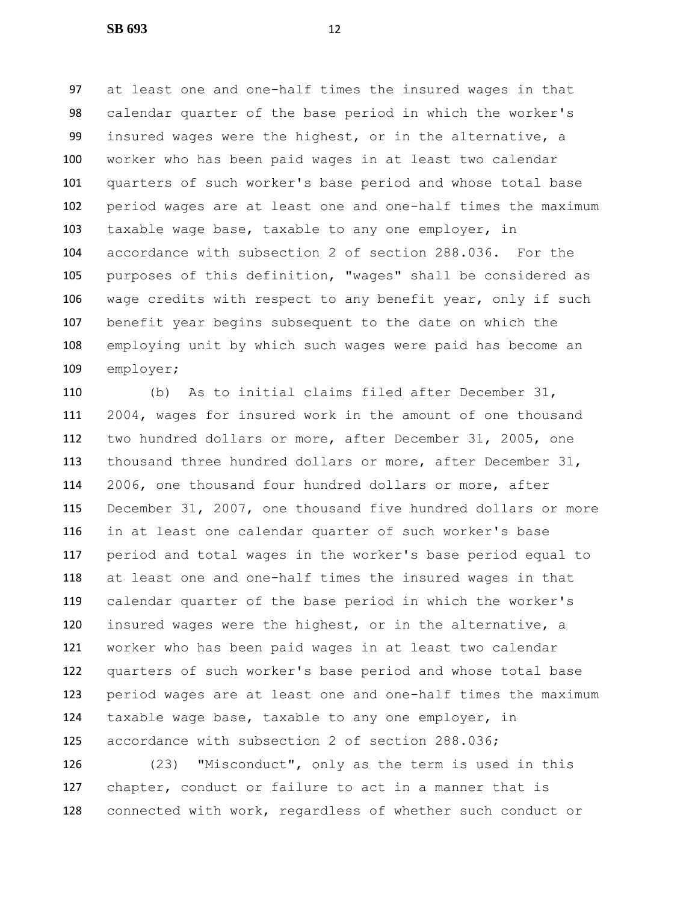at least one and one-half times the insured wages in that calendar quarter of the base period in which the worker's insured wages were the highest, or in the alternative, a worker who has been paid wages in at least two calendar quarters of such worker's base period and whose total base period wages are at least one and one-half times the maximum taxable wage base, taxable to any one employer, in accordance with subsection 2 of section 288.036. For the purposes of this definition, "wages" shall be considered as wage credits with respect to any benefit year, only if such benefit year begins subsequent to the date on which the employing unit by which such wages were paid has become an employer;

 (b) As to initial claims filed after December 31, 2004, wages for insured work in the amount of one thousand two hundred dollars or more, after December 31, 2005, one thousand three hundred dollars or more, after December 31, 2006, one thousand four hundred dollars or more, after December 31, 2007, one thousand five hundred dollars or more in at least one calendar quarter of such worker's base period and total wages in the worker's base period equal to at least one and one-half times the insured wages in that calendar quarter of the base period in which the worker's insured wages were the highest, or in the alternative, a worker who has been paid wages in at least two calendar quarters of such worker's base period and whose total base period wages are at least one and one-half times the maximum taxable wage base, taxable to any one employer, in accordance with subsection 2 of section 288.036;

 (23) "Misconduct", only as the term is used in this chapter, conduct or failure to act in a manner that is connected with work, regardless of whether such conduct or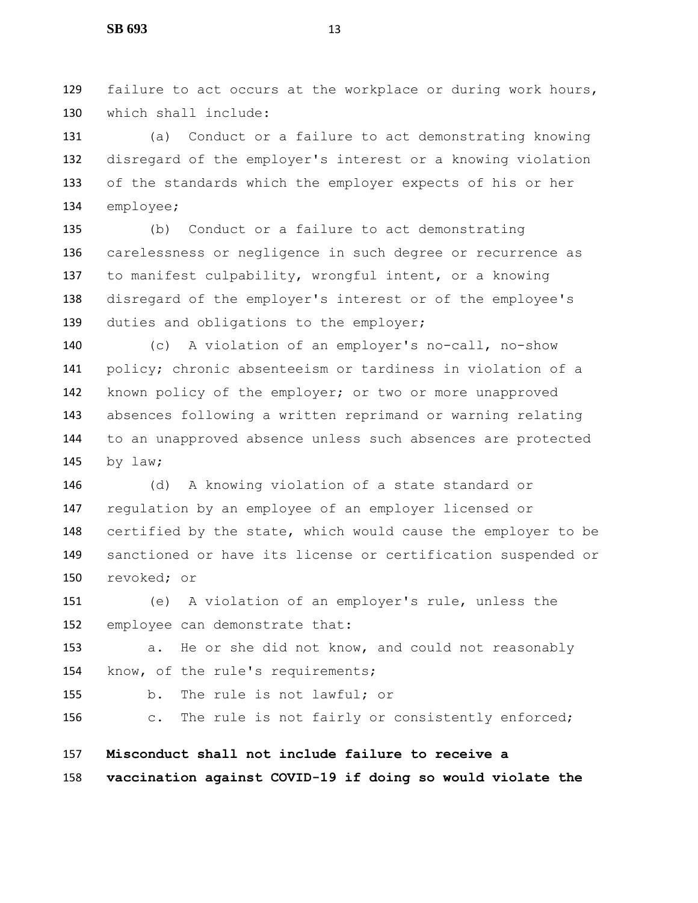failure to act occurs at the workplace or during work hours, which shall include:

 (a) Conduct or a failure to act demonstrating knowing disregard of the employer's interest or a knowing violation of the standards which the employer expects of his or her employee;

 (b) Conduct or a failure to act demonstrating carelessness or negligence in such degree or recurrence as to manifest culpability, wrongful intent, or a knowing disregard of the employer's interest or of the employee's 139 duties and obligations to the employer;

 (c) A violation of an employer's no-call, no-show policy; chronic absenteeism or tardiness in violation of a known policy of the employer; or two or more unapproved absences following a written reprimand or warning relating to an unapproved absence unless such absences are protected by law;

 (d) A knowing violation of a state standard or regulation by an employee of an employer licensed or certified by the state, which would cause the employer to be sanctioned or have its license or certification suspended or revoked; or

 (e) A violation of an employer's rule, unless the employee can demonstrate that:

 a. He or she did not know, and could not reasonably know, of the rule's requirements;

b. The rule is not lawful; or

156 c. The rule is not fairly or consistently enforced;

 **Misconduct shall not include failure to receive a vaccination against COVID-19 if doing so would violate the**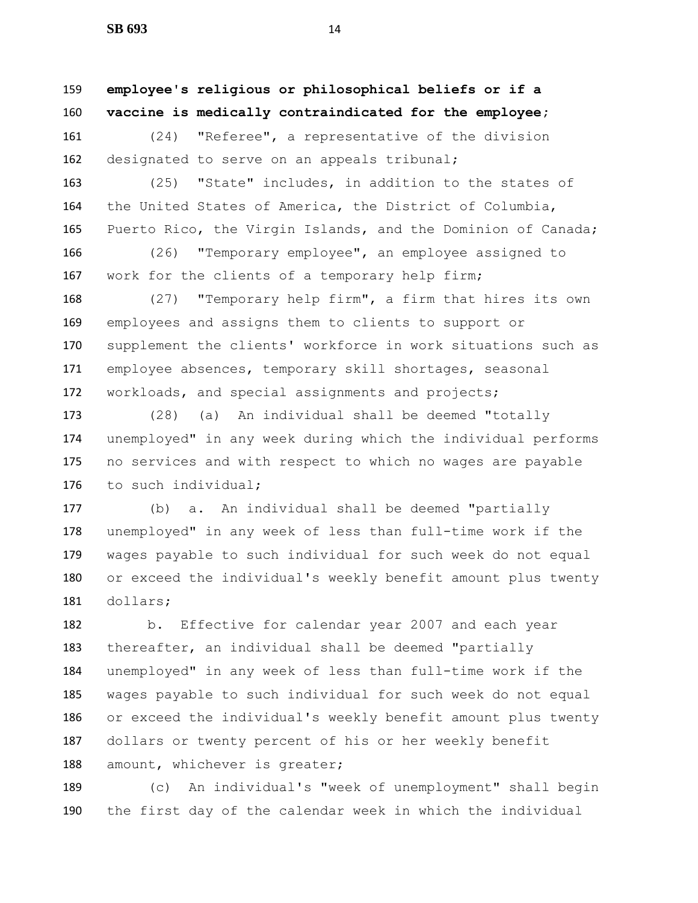**employee's religious or philosophical beliefs or if a vaccine is medically contraindicated for the employee;**

 (24) "Referee", a representative of the division 162 designated to serve on an appeals tribunal;

 (25) "State" includes, in addition to the states of the United States of America, the District of Columbia, Puerto Rico, the Virgin Islands, and the Dominion of Canada;

 (26) "Temporary employee", an employee assigned to 167 work for the clients of a temporary help firm;

 (27) "Temporary help firm", a firm that hires its own employees and assigns them to clients to support or supplement the clients' workforce in work situations such as employee absences, temporary skill shortages, seasonal workloads, and special assignments and projects;

 (28) (a) An individual shall be deemed "totally unemployed" in any week during which the individual performs no services and with respect to which no wages are payable to such individual;

 (b) a. An individual shall be deemed "partially unemployed" in any week of less than full-time work if the wages payable to such individual for such week do not equal or exceed the individual's weekly benefit amount plus twenty dollars;

 b. Effective for calendar year 2007 and each year thereafter, an individual shall be deemed "partially unemployed" in any week of less than full-time work if the wages payable to such individual for such week do not equal or exceed the individual's weekly benefit amount plus twenty dollars or twenty percent of his or her weekly benefit 188 amount, whichever is greater;

 (c) An individual's "week of unemployment" shall begin the first day of the calendar week in which the individual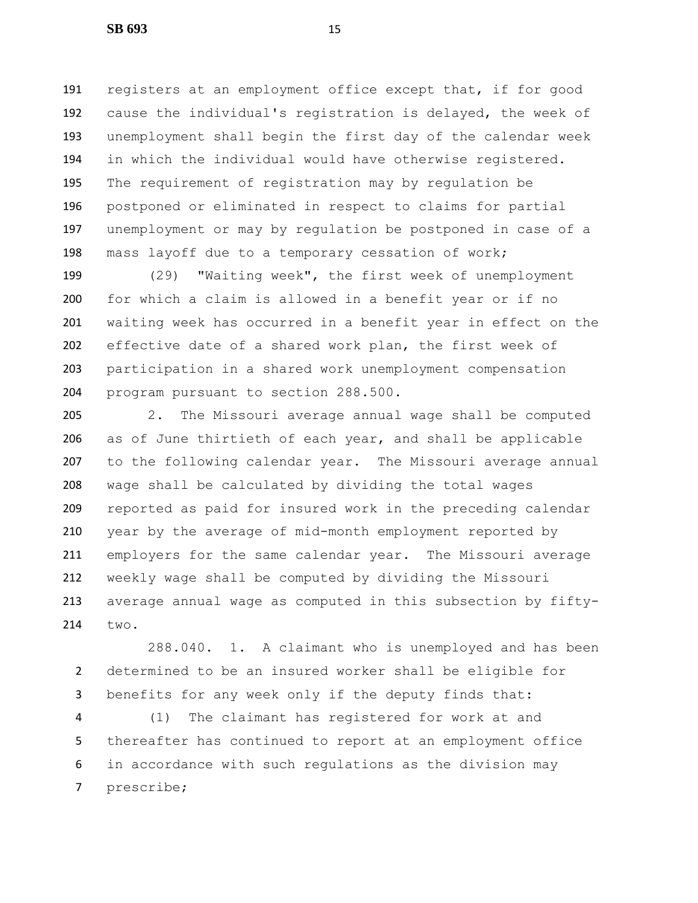registers at an employment office except that, if for good cause the individual's registration is delayed, the week of unemployment shall begin the first day of the calendar week in which the individual would have otherwise registered. The requirement of registration may by regulation be postponed or eliminated in respect to claims for partial unemployment or may by regulation be postponed in case of a mass layoff due to a temporary cessation of work;

 (29) "Waiting week", the first week of unemployment for which a claim is allowed in a benefit year or if no waiting week has occurred in a benefit year in effect on the effective date of a shared work plan, the first week of participation in a shared work unemployment compensation program pursuant to section 288.500.

 2. The Missouri average annual wage shall be computed as of June thirtieth of each year, and shall be applicable to the following calendar year. The Missouri average annual wage shall be calculated by dividing the total wages reported as paid for insured work in the preceding calendar year by the average of mid-month employment reported by employers for the same calendar year. The Missouri average weekly wage shall be computed by dividing the Missouri average annual wage as computed in this subsection by fifty-two.

288.040. 1. A claimant who is unemployed and has been determined to be an insured worker shall be eligible for benefits for any week only if the deputy finds that:

 (1) The claimant has registered for work at and thereafter has continued to report at an employment office in accordance with such regulations as the division may prescribe;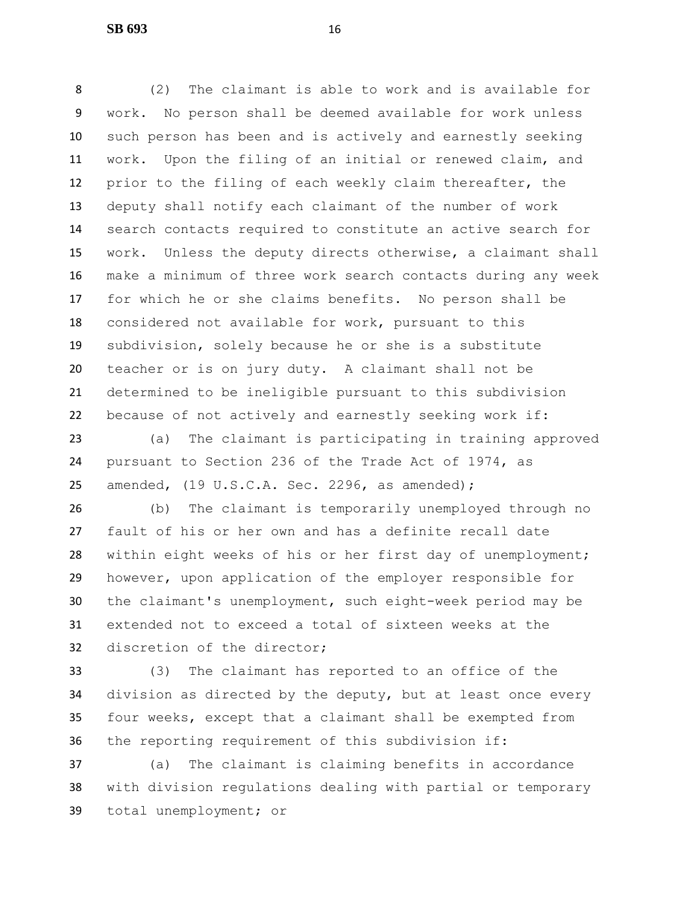(2) The claimant is able to work and is available for work. No person shall be deemed available for work unless such person has been and is actively and earnestly seeking work. Upon the filing of an initial or renewed claim, and prior to the filing of each weekly claim thereafter, the deputy shall notify each claimant of the number of work search contacts required to constitute an active search for work. Unless the deputy directs otherwise, a claimant shall make a minimum of three work search contacts during any week for which he or she claims benefits. No person shall be considered not available for work, pursuant to this subdivision, solely because he or she is a substitute teacher or is on jury duty. A claimant shall not be determined to be ineligible pursuant to this subdivision because of not actively and earnestly seeking work if:

 (a) The claimant is participating in training approved pursuant to Section 236 of the Trade Act of 1974, as amended, (19 U.S.C.A. Sec. 2296, as amended);

 (b) The claimant is temporarily unemployed through no fault of his or her own and has a definite recall date within eight weeks of his or her first day of unemployment; however, upon application of the employer responsible for the claimant's unemployment, such eight-week period may be extended not to exceed a total of sixteen weeks at the discretion of the director;

 (3) The claimant has reported to an office of the division as directed by the deputy, but at least once every four weeks, except that a claimant shall be exempted from the reporting requirement of this subdivision if:

 (a) The claimant is claiming benefits in accordance with division regulations dealing with partial or temporary total unemployment; or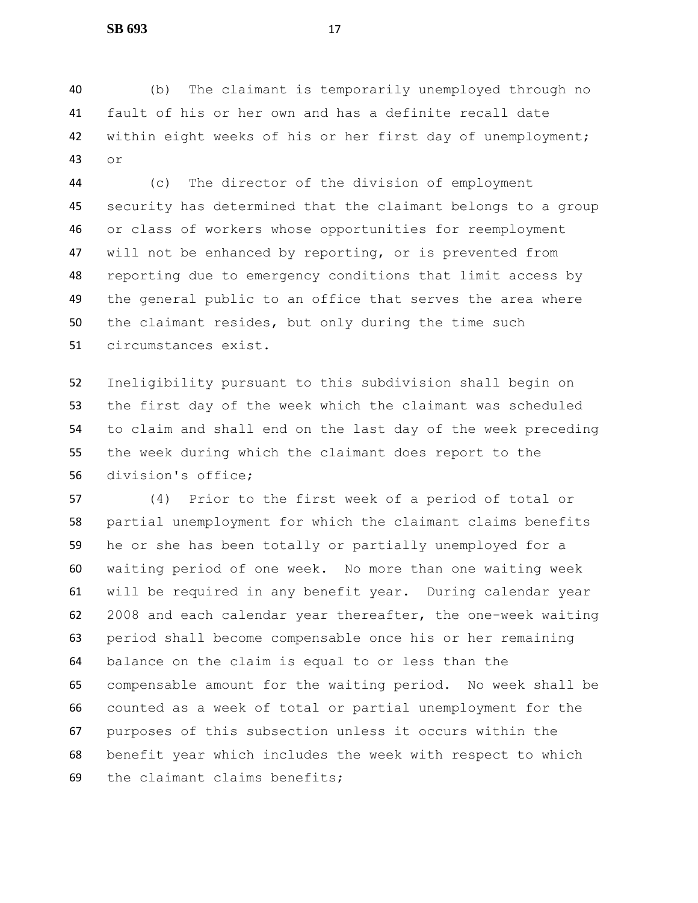(b) The claimant is temporarily unemployed through no fault of his or her own and has a definite recall date within eight weeks of his or her first day of unemployment; or

 (c) The director of the division of employment security has determined that the claimant belongs to a group or class of workers whose opportunities for reemployment will not be enhanced by reporting, or is prevented from reporting due to emergency conditions that limit access by the general public to an office that serves the area where the claimant resides, but only during the time such circumstances exist.

 Ineligibility pursuant to this subdivision shall begin on the first day of the week which the claimant was scheduled to claim and shall end on the last day of the week preceding the week during which the claimant does report to the division's office;

 (4) Prior to the first week of a period of total or partial unemployment for which the claimant claims benefits he or she has been totally or partially unemployed for a waiting period of one week. No more than one waiting week will be required in any benefit year. During calendar year 2008 and each calendar year thereafter, the one-week waiting period shall become compensable once his or her remaining balance on the claim is equal to or less than the compensable amount for the waiting period. No week shall be counted as a week of total or partial unemployment for the purposes of this subsection unless it occurs within the benefit year which includes the week with respect to which the claimant claims benefits;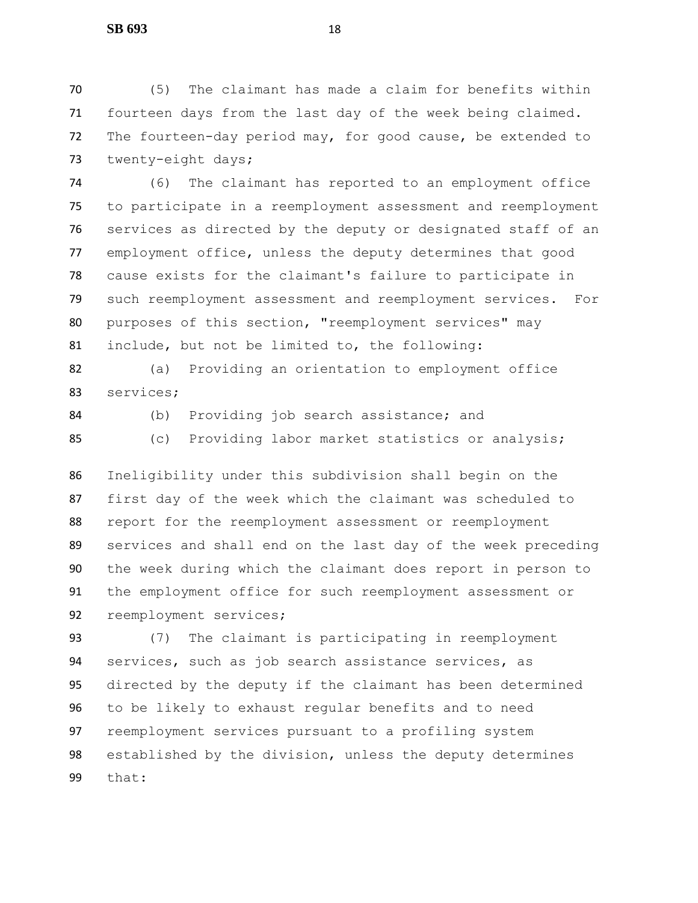(5) The claimant has made a claim for benefits within fourteen days from the last day of the week being claimed. The fourteen-day period may, for good cause, be extended to 73 twenty-eight days;

 (6) The claimant has reported to an employment office to participate in a reemployment assessment and reemployment services as directed by the deputy or designated staff of an employment office, unless the deputy determines that good cause exists for the claimant's failure to participate in such reemployment assessment and reemployment services. For purposes of this section, "reemployment services" may include, but not be limited to, the following:

 (a) Providing an orientation to employment office services;

(b) Providing job search assistance; and

(c) Providing labor market statistics or analysis;

 Ineligibility under this subdivision shall begin on the first day of the week which the claimant was scheduled to report for the reemployment assessment or reemployment services and shall end on the last day of the week preceding the week during which the claimant does report in person to the employment office for such reemployment assessment or reemployment services;

 (7) The claimant is participating in reemployment services, such as job search assistance services, as directed by the deputy if the claimant has been determined to be likely to exhaust regular benefits and to need reemployment services pursuant to a profiling system established by the division, unless the deputy determines that: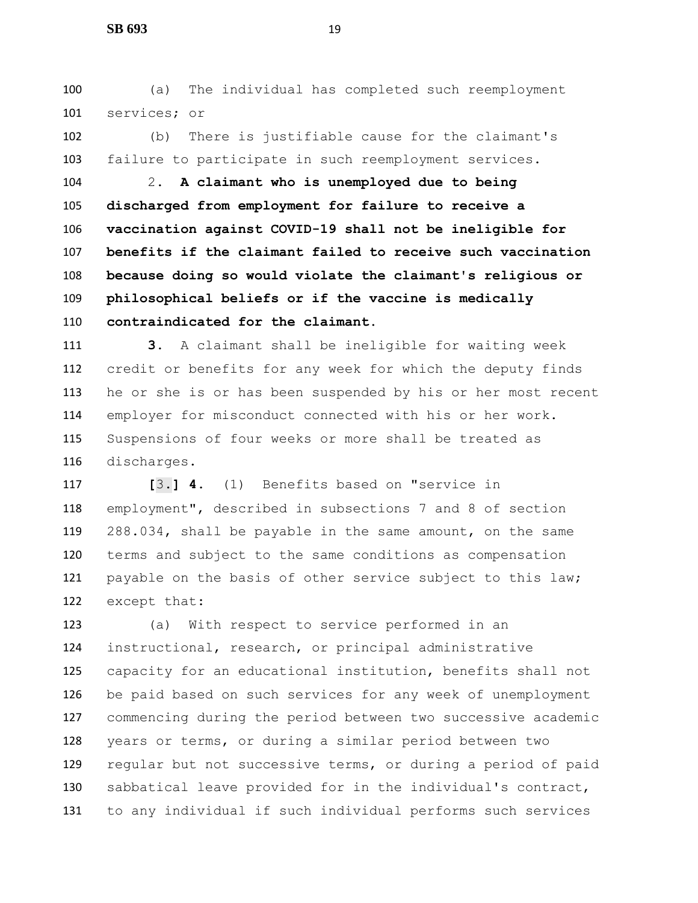(a) The individual has completed such reemployment services; or

 (b) There is justifiable cause for the claimant's failure to participate in such reemployment services.

 2. **A claimant who is unemployed due to being discharged from employment for failure to receive a vaccination against COVID-19 shall not be ineligible for benefits if the claimant failed to receive such vaccination because doing so would violate the claimant's religious or philosophical beliefs or if the vaccine is medically contraindicated for the claimant.**

 **3.** A claimant shall be ineligible for waiting week credit or benefits for any week for which the deputy finds he or she is or has been suspended by his or her most recent employer for misconduct connected with his or her work. Suspensions of four weeks or more shall be treated as discharges.

 **[**3.**] 4.** (1) Benefits based on "service in employment", described in subsections 7 and 8 of section 288.034, shall be payable in the same amount, on the same terms and subject to the same conditions as compensation payable on the basis of other service subject to this law; except that:

 (a) With respect to service performed in an instructional, research, or principal administrative capacity for an educational institution, benefits shall not be paid based on such services for any week of unemployment commencing during the period between two successive academic years or terms, or during a similar period between two regular but not successive terms, or during a period of paid sabbatical leave provided for in the individual's contract, to any individual if such individual performs such services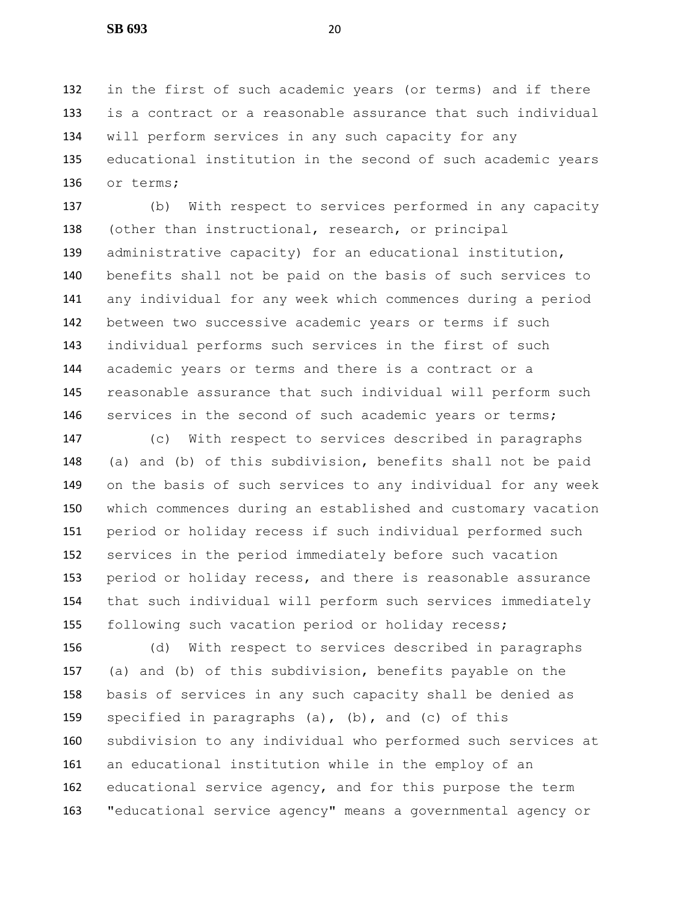in the first of such academic years (or terms) and if there is a contract or a reasonable assurance that such individual will perform services in any such capacity for any educational institution in the second of such academic years or terms;

 (b) With respect to services performed in any capacity (other than instructional, research, or principal administrative capacity) for an educational institution, benefits shall not be paid on the basis of such services to any individual for any week which commences during a period between two successive academic years or terms if such individual performs such services in the first of such academic years or terms and there is a contract or a reasonable assurance that such individual will perform such 146 services in the second of such academic years or terms;

 (c) With respect to services described in paragraphs (a) and (b) of this subdivision, benefits shall not be paid on the basis of such services to any individual for any week which commences during an established and customary vacation period or holiday recess if such individual performed such services in the period immediately before such vacation period or holiday recess, and there is reasonable assurance that such individual will perform such services immediately following such vacation period or holiday recess;

 (d) With respect to services described in paragraphs (a) and (b) of this subdivision, benefits payable on the basis of services in any such capacity shall be denied as specified in paragraphs (a), (b), and (c) of this subdivision to any individual who performed such services at an educational institution while in the employ of an educational service agency, and for this purpose the term "educational service agency" means a governmental agency or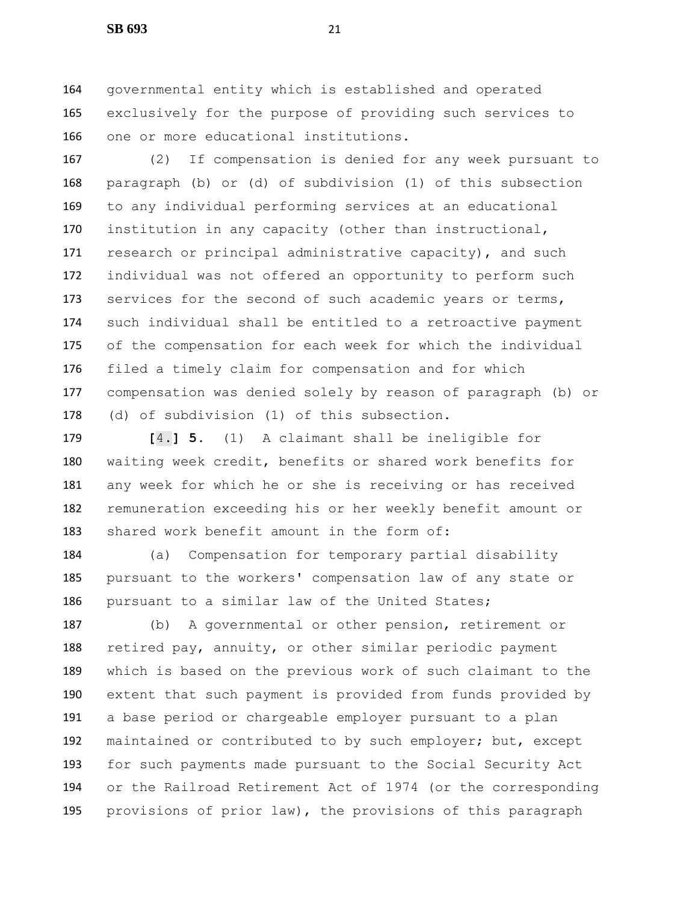governmental entity which is established and operated exclusively for the purpose of providing such services to one or more educational institutions.

 (2) If compensation is denied for any week pursuant to paragraph (b) or (d) of subdivision (1) of this subsection to any individual performing services at an educational institution in any capacity (other than instructional, 171 research or principal administrative capacity), and such individual was not offered an opportunity to perform such 173 services for the second of such academic years or terms, such individual shall be entitled to a retroactive payment of the compensation for each week for which the individual filed a timely claim for compensation and for which compensation was denied solely by reason of paragraph (b) or (d) of subdivision (1) of this subsection.

 **[**4.**] 5.** (1) A claimant shall be ineligible for waiting week credit, benefits or shared work benefits for any week for which he or she is receiving or has received remuneration exceeding his or her weekly benefit amount or shared work benefit amount in the form of:

 (a) Compensation for temporary partial disability pursuant to the workers' compensation law of any state or pursuant to a similar law of the United States;

 (b) A governmental or other pension, retirement or 188 retired pay, annuity, or other similar periodic payment which is based on the previous work of such claimant to the extent that such payment is provided from funds provided by a base period or chargeable employer pursuant to a plan maintained or contributed to by such employer; but, except for such payments made pursuant to the Social Security Act or the Railroad Retirement Act of 1974 (or the corresponding provisions of prior law), the provisions of this paragraph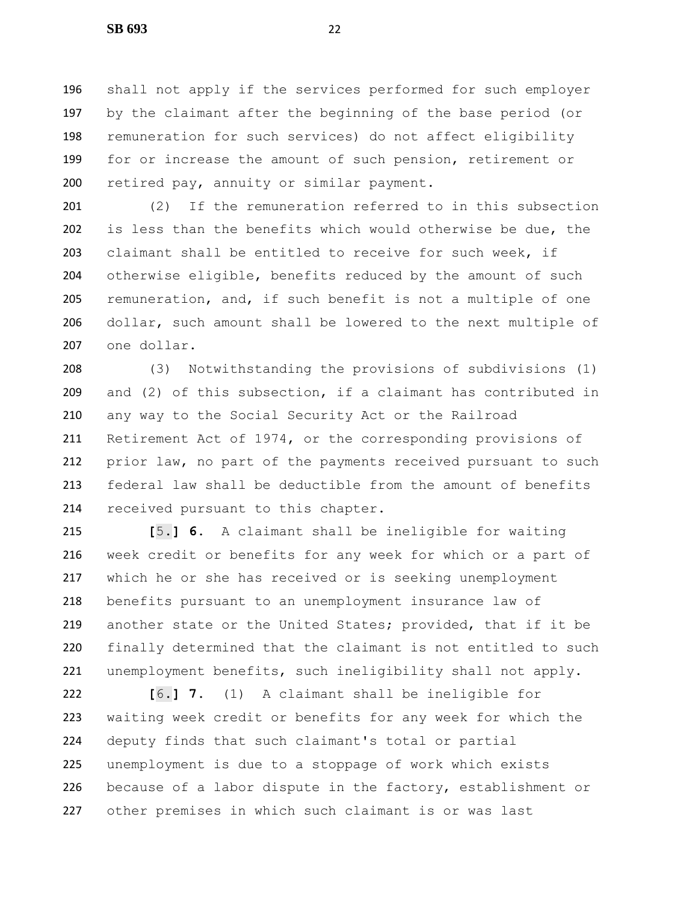shall not apply if the services performed for such employer by the claimant after the beginning of the base period (or remuneration for such services) do not affect eligibility for or increase the amount of such pension, retirement or 200 retired pay, annuity or similar payment.

 (2) If the remuneration referred to in this subsection is less than the benefits which would otherwise be due, the claimant shall be entitled to receive for such week, if 204 otherwise eligible, benefits reduced by the amount of such remuneration, and, if such benefit is not a multiple of one dollar, such amount shall be lowered to the next multiple of one dollar.

 (3) Notwithstanding the provisions of subdivisions (1) and (2) of this subsection, if a claimant has contributed in any way to the Social Security Act or the Railroad Retirement Act of 1974, or the corresponding provisions of prior law, no part of the payments received pursuant to such federal law shall be deductible from the amount of benefits received pursuant to this chapter.

 **[**5.**] 6.** A claimant shall be ineligible for waiting week credit or benefits for any week for which or a part of which he or she has received or is seeking unemployment benefits pursuant to an unemployment insurance law of another state or the United States; provided, that if it be finally determined that the claimant is not entitled to such unemployment benefits, such ineligibility shall not apply.

 **[**6.**] 7.** (1) A claimant shall be ineligible for waiting week credit or benefits for any week for which the deputy finds that such claimant's total or partial unemployment is due to a stoppage of work which exists because of a labor dispute in the factory, establishment or other premises in which such claimant is or was last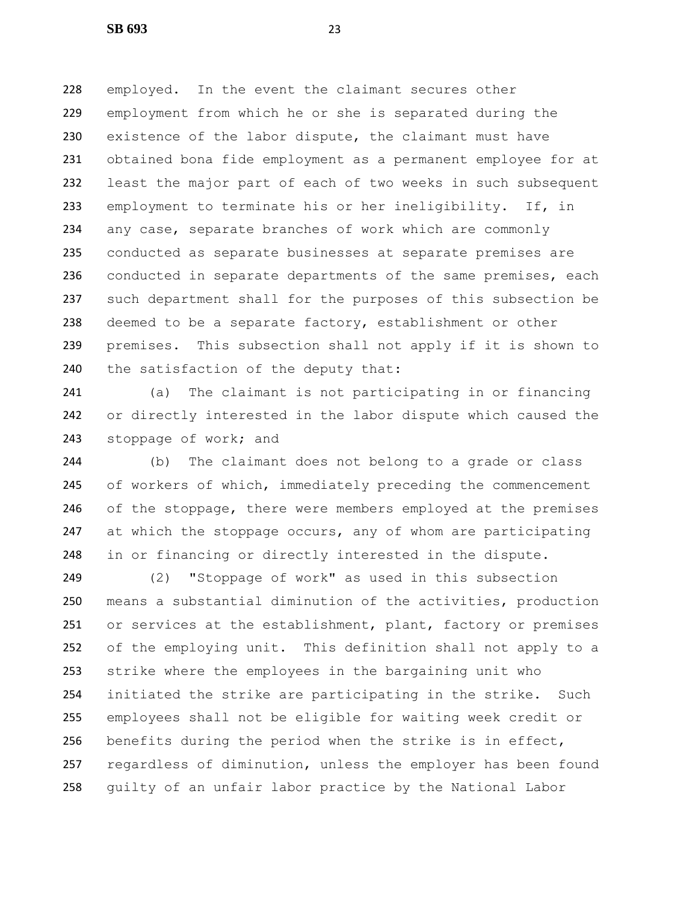employed. In the event the claimant secures other employment from which he or she is separated during the existence of the labor dispute, the claimant must have obtained bona fide employment as a permanent employee for at least the major part of each of two weeks in such subsequent employment to terminate his or her ineligibility. If, in any case, separate branches of work which are commonly conducted as separate businesses at separate premises are 236 conducted in separate departments of the same premises, each such department shall for the purposes of this subsection be deemed to be a separate factory, establishment or other premises. This subsection shall not apply if it is shown to 240 the satisfaction of the deputy that:

 (a) The claimant is not participating in or financing or directly interested in the labor dispute which caused the 243 stoppage of work; and

 (b) The claimant does not belong to a grade or class of workers of which, immediately preceding the commencement of the stoppage, there were members employed at the premises 247 at which the stoppage occurs, any of whom are participating in or financing or directly interested in the dispute.

 (2) "Stoppage of work" as used in this subsection means a substantial diminution of the activities, production or services at the establishment, plant, factory or premises of the employing unit. This definition shall not apply to a strike where the employees in the bargaining unit who initiated the strike are participating in the strike. Such employees shall not be eligible for waiting week credit or benefits during the period when the strike is in effect, regardless of diminution, unless the employer has been found guilty of an unfair labor practice by the National Labor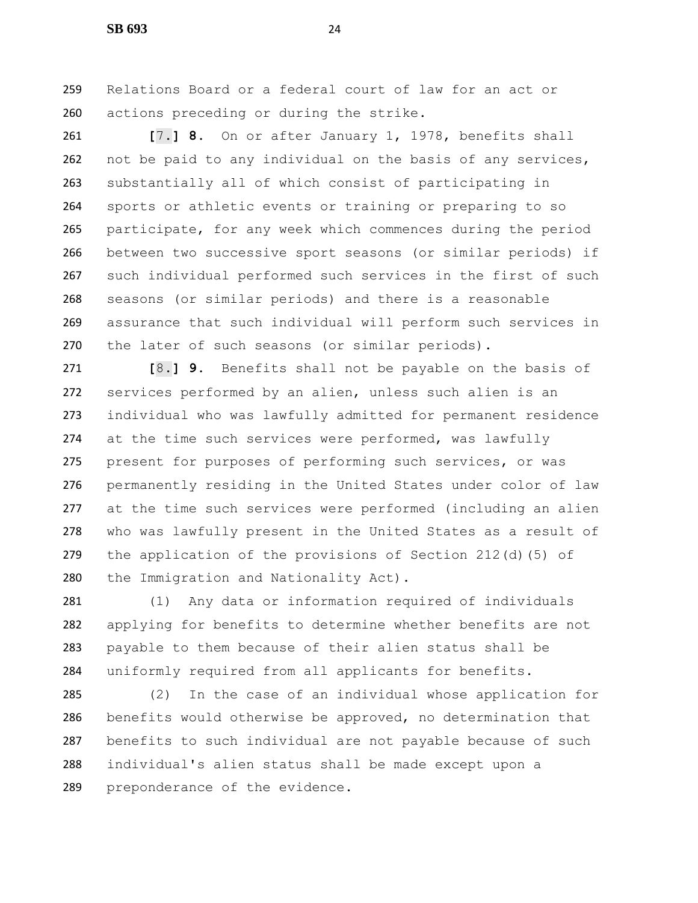Relations Board or a federal court of law for an act or actions preceding or during the strike.

 **[**7.**] 8.** On or after January 1, 1978, benefits shall not be paid to any individual on the basis of any services, substantially all of which consist of participating in sports or athletic events or training or preparing to so participate, for any week which commences during the period between two successive sport seasons (or similar periods) if such individual performed such services in the first of such seasons (or similar periods) and there is a reasonable assurance that such individual will perform such services in the later of such seasons (or similar periods).

 **[**8.**] 9.** Benefits shall not be payable on the basis of services performed by an alien, unless such alien is an individual who was lawfully admitted for permanent residence 274 at the time such services were performed, was lawfully present for purposes of performing such services, or was permanently residing in the United States under color of law at the time such services were performed (including an alien who was lawfully present in the United States as a result of the application of the provisions of Section 212(d)(5) of the Immigration and Nationality Act).

 (1) Any data or information required of individuals applying for benefits to determine whether benefits are not payable to them because of their alien status shall be uniformly required from all applicants for benefits.

 (2) In the case of an individual whose application for benefits would otherwise be approved, no determination that benefits to such individual are not payable because of such individual's alien status shall be made except upon a preponderance of the evidence.